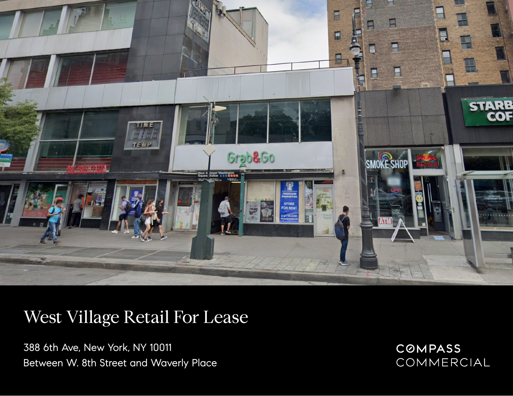

## West Village Retail For Lease

388 6th Ave, New York, NY 10011 Between W. 8th Street and Waverly Place COMPASS COMMERCIAL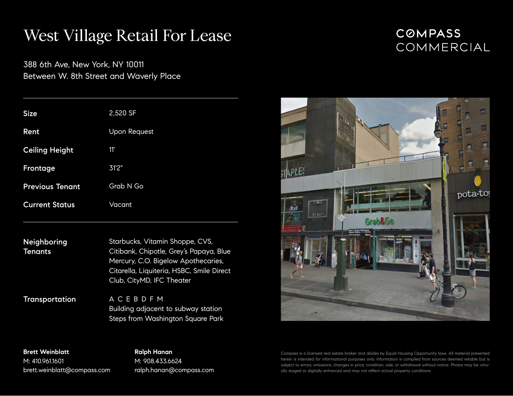## West Village Retail For Lease

388 6th Ave, New York, NY 10011 Between W. 8th Street and Waverly Place

| <b>Size</b>            | 2,520 SF            |
|------------------------|---------------------|
| Rent                   | <b>Upon Request</b> |
| <b>Ceiling Height</b>  | 11'                 |
| Frontage               | 31'2"               |
| <b>Previous Tenant</b> | Grab N Go           |
| <b>Current Status</b>  | Vacant              |

Neighboring **Tenants** Starbucks, Vitamin Shoppe, CVS, Citibank, Chipotle, Grey's Papaya, Blue Mercury, C.O. Bigelow Apothecaries, Citarella, Liquiteria, HSBC, Smile Direct Club, CityMD, IFC Theater

**Transportation** A C E B D F M Building adjacent to subway station Steps from Washington Square Park

**Brett Weinblatt** M: 410.961.1601 brett.weinblatt@compass.com

**Ralph Hanan** M: 908.433.6624 ralph.hanan@compass.com **COMPASS** COMMERCIAL



Compass is a licensed real estate broker and abides by Equal Housing Opportunity laws. All material presented herein is intended for informational purposes only. Information is compiled from sources deemed reliable but is subject to errors, omissions, changes in price, condition, sale, or withdrawal without notice. Photos may be virtually staged or digitally enhanced and may not reflect actual property conditions.